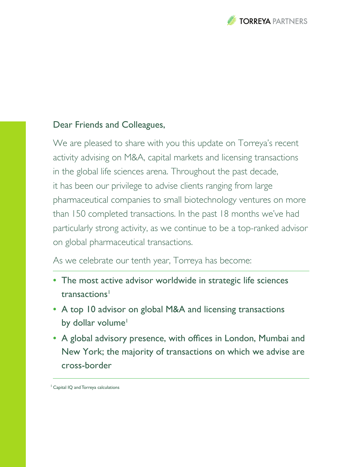

## Dear Friends and Colleagues,

We are pleased to share with you this update on Torreya's recent activity advising on M&A, capital markets and licensing transactions in the global life sciences arena. Throughout the past decade, it has been our privilege to advise clients ranging from large pharmaceutical companies to small biotechnology ventures on more than 150 completed transactions. In the past 18 months we've had particularly strong activity, as we continue to be a top-ranked advisor on global pharmaceutical transactions.

As we celebrate our tenth year, Torreya has become:

- **•** The most active advisor worldwide in strategic life sciences transactions<sup>1</sup>
- **•** A top 10 advisor on global M&A and licensing transactions by dollar volume<sup>1</sup>
- **•** A global advisory presence, with offices in London, Mumbai and New York; the majority of transactions on which we advise are cross-border

<sup>1</sup> Capital IQ and Torreya calculations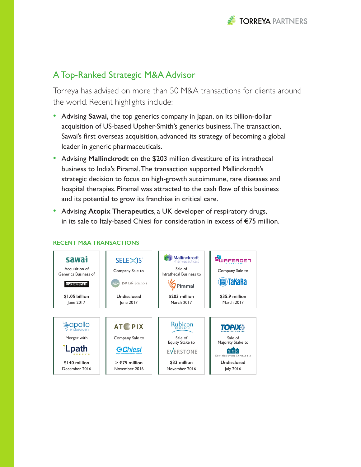

# A Top-Ranked Strategic M&A Advisor

Torreya has advised on more than 50 M&A transactions for clients around the world. Recent highlights include:

- Advising **Sawai,** the top generics company in Japan, on its billion-dollar acquisition of US-based Upsher-Smith's generics business. The transaction, Sawai's first overseas acquisition, advanced its strategy of becoming a global leader in generic pharmaceuticals.
- Advising **Mallinckrodt** on the \$203 million divestiture of its intrathecal business to India's Piramal. The transaction supported Mallinckrodt's strategic decision to focus on high-growth autoimmune, rare diseases and hospital therapies. Piramal was attracted to the cash flow of this business and its potential to grow its franchise in critical care.
- Advising **Atopix Therapeutics**, a UK developer of respiratory drugs, in its sale to Italy-based Chiesi for consideration in excess of €75 million.



#### **RECENT M&A TRANSACTIONS**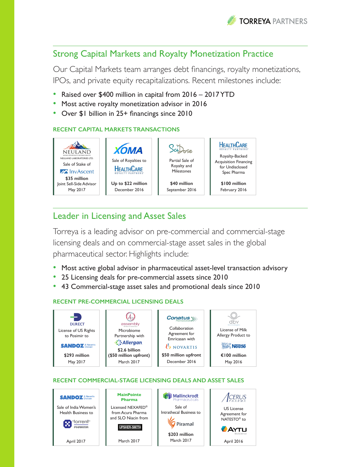

## Strong Capital Markets and Royalty Monetization Practice

Our Capital Markets team arranges debt financings, royalty monetizations, IPOs, and private equity recapitalizations. Recent milestones include:

- Raised over \$400 million in capital from 2016 2017 YTD
- Most active royalty monetization advisor in 2016
- Over \$1 billion in 25+ financings since 2010

### **RECENT CAPITAL MARKETS TRANSACTIONS**



## Leader in Licensing and Asset Sales

Torreya is a leading advisor on pre-commercial and commercial-stage licensing deals and on commercial-stage asset sales in the global pharmaceutical sector. Highlights include:

- Most active global advisor in pharmaceutical asset-level transaction advisory
- 25 Licensing deals for pre-commercial assets since 2010
- 43 Commercial-stage asset sales and promotional deals since 2010

### **RECENT PRE-COMMERCIAL LICENSING DEALS**



### **RECENT COMMERCIAL-STAGE LICENSING DEALS AND ASSET SALES**